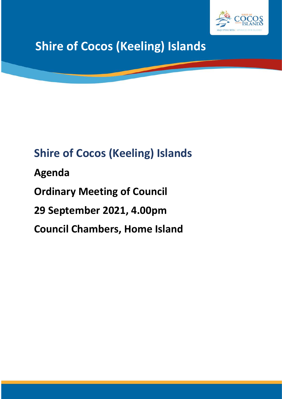

## **Shire of Cocos (Keeling) Islands**

# **Shire of Cocos (Keeling) Islands Agenda Ordinary Meeting of Council 29 September 2021, 4.00pm Council Chambers, Home Island**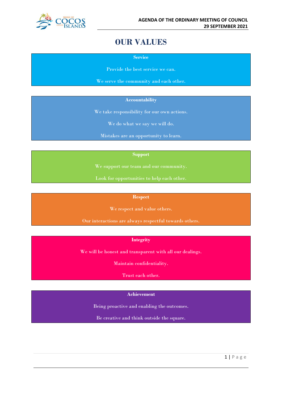

## **OUR VALUES**

**Service**

Provide the best service we can.

We serve the community and each other.

#### **Accountability**

We take responsibility for our own actions.

We do what we say we will do.

Mistakes are an opportunity to learn.

#### **Support**

We support our team and our community.

Look for opportunities to help each other.

#### **Respect**

We respect and value others.

Our interactions are always respectful towards others.

#### **Integrity**

We will be honest and transparent with all our dealings.

Maintain confidentiality.

Trust each other.

#### **Achievement**

Being proactive and enabling the outcomes.

Be creative and think outside the square.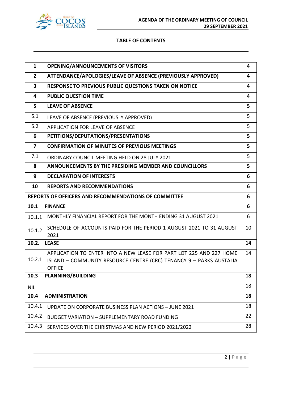

#### **TABLE OF CONTENTS**

| $\mathbf{1}$            | <b>OPENING/ANNOUNCEMENTS OF VISITORS</b>                                                                                                                    | 4  |
|-------------------------|-------------------------------------------------------------------------------------------------------------------------------------------------------------|----|
| $\overline{2}$          | ATTENDANCE/APOLOGIES/LEAVE OF ABSENCE (PREVIOUSLY APPROVED)                                                                                                 | 4  |
| $\overline{\mathbf{3}}$ | RESPONSE TO PREVIOUS PUBLIC QUESTIONS TAKEN ON NOTICE                                                                                                       | 4  |
| 4                       | <b>PUBLIC QUESTION TIME</b>                                                                                                                                 | 4  |
| 5                       | <b>LEAVE OF ABSENCE</b>                                                                                                                                     | 5  |
| 5.1                     | LEAVE OF ABSENCE (PREVIOUSLY APPROVED)                                                                                                                      | 5  |
| 5.2                     | APPLICATION FOR LEAVE OF ABSENCE                                                                                                                            | 5  |
| 6                       | PETITIONS/DEPUTATIONS/PRESENTATIONS                                                                                                                         | 5  |
| $\overline{\mathbf{z}}$ | <b>CONFIRMATION OF MINUTES OF PREVIOUS MEETINGS</b>                                                                                                         | 5  |
| 7.1                     | ORDINARY COUNCIL MEETING HELD ON 28 JULY 2021                                                                                                               | 5  |
| 8                       | <b>ANNOUNCEMENTS BY THE PRESIDING MEMBER AND COUNCILLORS</b>                                                                                                | 5  |
| 9                       | <b>DECLARATION OF INTERESTS</b>                                                                                                                             | 6  |
| 10                      | <b>REPORTS AND RECOMMENDATIONS</b>                                                                                                                          | 6  |
|                         | REPORTS OF OFFICERS AND RECOMMENDATIONS OF COMMITTEE                                                                                                        | 6  |
| 10.1                    | <b>FINANCE</b>                                                                                                                                              | 6  |
| 10.1.1                  | MONTHLY FINANCIAL REPORT FOR THE MONTH ENDING 31 AUGUST 2021                                                                                                | 6  |
| 10.1.2                  | SCHEDULE OF ACCOUNTS PAID FOR THE PERIOD 1 AUGUST 2021 TO 31 AUGUST<br>2021                                                                                 | 10 |
| 10.2.                   | <b>LEASE</b>                                                                                                                                                | 14 |
| 10.2.1                  | APPLICATION TO ENTER INTO A NEW LEASE FOR PART LOT 225 AND 227 HOME<br>ISLAND - COMMUNITY RESOURCE CENTRE (CRC) TENANCY 9 - PARKS AUSTALIA<br><b>OFFICE</b> | 14 |
| 10.3                    | <b>PLANNING/BUILDING</b>                                                                                                                                    | 18 |
| <b>NIL</b>              |                                                                                                                                                             | 18 |
| 10.4                    | <b>ADMINISTRATION</b>                                                                                                                                       | 18 |
| 10.4.1                  | UPDATE ON CORPORATE BUSINESS PLAN ACTIONS - JUNE 2021                                                                                                       | 18 |
| 10.4.2                  | <b>BUDGET VARIATION - SUPPLEMENTARY ROAD FUNDING</b>                                                                                                        | 22 |
| 10.4.3                  | SERVICES OVER THE CHRISTMAS AND NEW PERIOD 2021/2022                                                                                                        | 28 |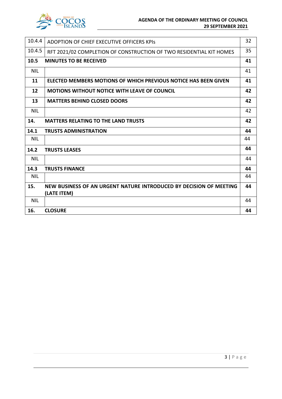

| 10.4.4     | ADOPTION OF CHIEF EXECUTIVE OFFICERS KPIS                           | 32 |
|------------|---------------------------------------------------------------------|----|
| 10.4.5     | RFT 2021/02 COMPLETION OF CONSTRUCTION OF TWO RESIDENTIAL KIT HOMES | 35 |
| 10.5       | <b>MINUTES TO BE RECEIVED</b>                                       | 41 |
| <b>NIL</b> |                                                                     | 41 |
| 11         | ELECTED MEMBERS MOTIONS OF WHICH PREVIOUS NOTICE HAS BEEN GIVEN     | 41 |
| 12         | <b>MOTIONS WITHOUT NOTICE WITH LEAVE OF COUNCIL</b>                 | 42 |
| 13         | <b>MATTERS BEHIND CLOSED DOORS</b>                                  | 42 |
| <b>NIL</b> |                                                                     | 42 |
| 14.        | <b>MATTERS RELATING TO THE LAND TRUSTS</b>                          | 42 |
| 14.1       | <b>TRUSTS ADMINISTRATION</b>                                        | 44 |
| <b>NIL</b> |                                                                     | 44 |
| 14.2       | <b>TRUSTS LEASES</b>                                                | 44 |
| <b>NIL</b> |                                                                     | 44 |
| 14.3       | <b>TRUSTS FINANCE</b>                                               | 44 |
| <b>NIL</b> |                                                                     | 44 |
| 15.        | NEW BUSINESS OF AN URGENT NATURE INTRODUCED BY DECISION OF MEETING  | 44 |
|            | (LATE ITEM)                                                         |    |
| <b>NIL</b> |                                                                     | 44 |
| 16.        | <b>CLOSURE</b>                                                      | 44 |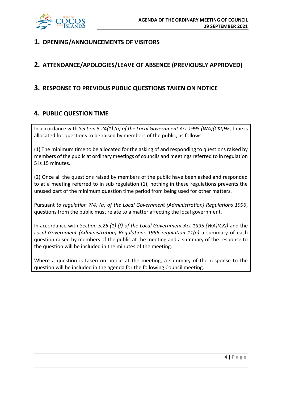

## **1. OPENING/ANNOUNCEMENTS OF VISITORS**

## **2. ATTENDANCE/APOLOGIES/LEAVE OF ABSENCE (PREVIOUSLY APPROVED)**

## **3. RESPONSE TO PREVIOUS PUBLIC QUESTIONS TAKEN ON NOTICE**

## **4. PUBLIC QUESTION TIME**

In accordance with *Section 5.24(1) (a) of the Local Government Act 1995 (WA)(CKI)HE,* time is allocated for questions to be raised by members of the public, as follows:

(1) The minimum time to be allocated for the asking of and responding to questions raised by members of the public at ordinary meetings of councils and meetings referred to in regulation 5 is 15 minutes.

(2) Once all the questions raised by members of the public have been asked and responded to at a meeting referred to in sub regulation (1), nothing in these regulations prevents the unused part of the minimum question time period from being used for other matters.

Pursuant *to regulation 7(4) (a) of the Local Government (Administration) Regulations 1996*, questions from the public must relate to a matter affecting the local government.

In accordance with *Section 5.25 (1) (f) of the Local Government Act 1995 (WA)(CKI)* and the *Local Government (Administration) Regulations 1996 regulation 11(e)* a summary of each question raised by members of the public at the meeting and a summary of the response to the question will be included in the minutes of the meeting.

Where a question is taken on notice at the meeting, a summary of the response to the question will be included in the agenda for the following Council meeting.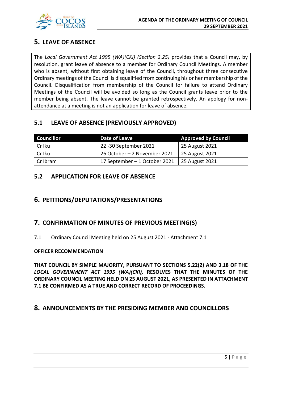

## **5. LEAVE OF ABSENCE**

The *Local Government Act 1995 (WA)(CKI) (Section 2.25)* provides that a Council may, by resolution, grant leave of absence to a member for Ordinary Council Meetings. A member who is absent, without first obtaining leave of the Council, throughout three consecutive Ordinary meetings of the Council is disqualified from continuing his or her membership of the Council. Disqualification from membership of the Council for failure to attend Ordinary Meetings of the Council will be avoided so long as the Council grants leave prior to the member being absent. The leave cannot be granted retrospectively. An apology for nonattendance at a meeting is not an application for leave of absence.

## **5.1 LEAVE OF ABSENCE (PREVIOUSLY APPROVED)**

| <b>Councillor</b> | Date of Leave                 | <b>Approved by Council</b> |
|-------------------|-------------------------------|----------------------------|
| Cr Iku            | 22 -30 September 2021         | 25 August 2021             |
| Cr Iku            | 26 October - 2 November 2021  | 25 August 2021             |
| Cr Ibram          | 17 September – 1 October 2021 | 25 August 2021             |

## **5.2 APPLICATION FOR LEAVE OF ABSENCE**

## **6. PETITIONS/DEPUTATIONS/PRESENTATIONS**

## **7. CONFIRMATION OF MINUTES OF PREVIOUS MEETING(S)**

7.1 Ordinary Council Meeting held on 25 August 2021 - Attachment 7.1

#### **OFFICER RECOMMENDATION**

**THAT COUNCIL BY SIMPLE MAJORITY, PURSUANT TO SECTIONS 5.22(2) AND 3.18 OF THE** *LOCAL GOVERNMENT ACT 1995 (WA)(CKI),* **RESOLVES THAT THE MINUTES OF THE ORDINARY COUNCIL MEETING HELD ON 25 AUGUST 2021, AS PRESENTED IN ATTACHMENT 7.1 BE CONFIRMED AS A TRUE AND CORRECT RECORD OF PROCEEDINGS.**

## **8. ANNOUNCEMENTS BY THE PRESIDING MEMBER AND COUNCILLORS**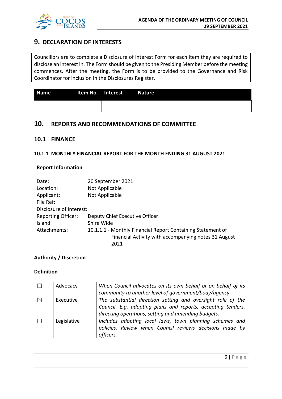

## **9. DECLARATION OF INTERESTS**

Councillors are to complete a Disclosure of Interest Form for each item they are required to disclose an interest in. The Form should be given to the Presiding Member before the meeting commences. After the meeting, the Form is to be provided to the Governance and Risk Coordinator for inclusion in the Disclosures Register.

| Name <sup>1</sup> | Item No. Interest Nature |  |
|-------------------|--------------------------|--|
|                   |                          |  |

## **10. REPORTS AND RECOMMENDATIONS OF COMMITTEE**

#### **10.1 FINANCE**

#### **10.1.1 MONTHLY FINANCIAL REPORT FOR THE MONTH ENDING 31 AUGUST 2021**

#### **Report Information**

| Date:                     | 20 September 2021                                           |
|---------------------------|-------------------------------------------------------------|
| Location:                 | Not Applicable                                              |
| Applicant:                | Not Applicable                                              |
| File Ref:                 |                                                             |
| Disclosure of Interest:   |                                                             |
| <b>Reporting Officer:</b> | Deputy Chief Executive Officer                              |
| Island:                   | Shire Wide                                                  |
| Attachments:              | 10.1.1.1 - Monthly Financial Report Containing Statement of |
|                           | Financial Activity with accompanying notes 31 August        |
|                           | 2021                                                        |

#### **Authority / Discretion**

#### **Definition**

|             | Advocacy    | When Council advocates on its own behalf or on behalf of its |  |  |
|-------------|-------------|--------------------------------------------------------------|--|--|
|             |             | community to another level of government/body/agency.        |  |  |
| $\boxtimes$ | Executive   | The substantial direction setting and oversight role of the  |  |  |
|             |             | Council. E.g. adopting plans and reports, accepting tenders, |  |  |
|             |             | directing operations, setting and amending budgets.          |  |  |
|             | Legislative | Includes adopting local laws, town planning schemes and      |  |  |
|             |             | policies. Review when Council reviews decisions made by      |  |  |
|             |             | officers.                                                    |  |  |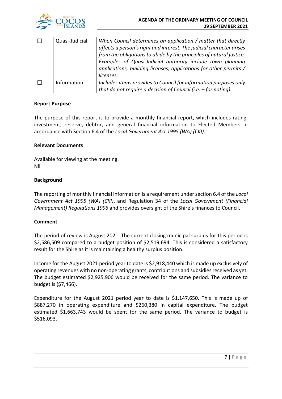

| Quasi-Judicial | When Council determines an application / matter that directly<br>affects a person's right and interest. The judicial character arises<br>from the obligations to abide by the principles of natural justice.<br>Examples of Quasi-Judicial authority include town planning<br>applications, building licenses, applications for other permits /<br>licenses. |
|----------------|--------------------------------------------------------------------------------------------------------------------------------------------------------------------------------------------------------------------------------------------------------------------------------------------------------------------------------------------------------------|
| Information    | Includes items provides to Council for information purposes only<br>that do not require a decision of Council (i.e. $-$ for noting).                                                                                                                                                                                                                         |

#### **Report Purpose**

The purpose of this report is to provide a monthly financial report, which includes rating, investment, reserve, debtor, and general financial information to Elected Members in accordance with Section 6.4 of the *Local Government Act 1995 (WA) (CKI)*.

#### **Relevant Documents**

Available for viewing at the meeting. Nil

#### **Background**

The reporting of monthly financial information is a requirement under section 6.4 of the *Local Government Act 1995 (WA) (CKI)*, and Regulation 34 of the *Local Government (Financial Management) Regulations 1996* and provides oversight of the Shire's finances to Council.

#### **Comment**

The period of review is August 2021. The current closing municipal surplus for this period is \$2,586,509 compared to a budget position of \$2,519,694. This is considered a satisfactory result for the Shire as it is maintaining a healthy surplus position.

Income for the August 2021 period year to date is \$2,918,440 which is made up exclusively of operating revenues with no non-operating grants, contributions and subsidies received as yet. The budget estimated \$2,925,906 would be received for the same period. The variance to budget is (\$7,466).

Expenditure for the August 2021 period year to date is \$1,147,650. This is made up of \$887,270 in operating expenditure and \$260,380 in capital expenditure. The budget estimated \$1,663,743 would be spent for the same period. The variance to budget is \$516,093.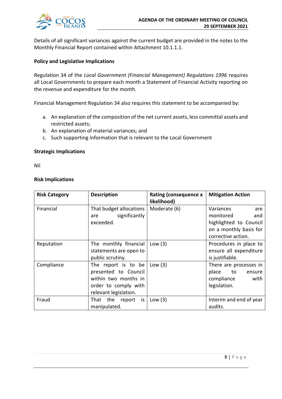

Details of all significant variances against the current budget are provided in the notes to the Monthly Financial Report contained within Attachment 10.1.1.1.

#### **Policy and Legislative Implications**

Regulation 34 of the *Local Government (Financial Management) Regulations 1996* requires all Local Governments to prepare each month a Statement of Financial Activity reporting on the revenue and expenditure for the month.

Financial Management Regulation 34 also requires this statement to be accompanied by:

- a. An explanation of the composition of the net current assets, less committal assets and restricted assets;
- b. An explanation of material variances; and
- c. Such supporting information that is relevant to the Local Government

#### **Strategic Implications**

Nil

#### **Risk Implications**

| <b>Risk Category</b>                                                                                                               | <b>Description</b>                                                  | Rating (consequence x<br>likelihood) | <b>Mitigation Action</b>                                                                                       |  |
|------------------------------------------------------------------------------------------------------------------------------------|---------------------------------------------------------------------|--------------------------------------|----------------------------------------------------------------------------------------------------------------|--|
| Financial                                                                                                                          | That budget allocations<br>significantly<br>are<br>exceeded.        | Moderate (6)                         | Variances<br>are<br>monitored<br>and<br>highlighted to Council<br>on a monthly basis for<br>corrective action. |  |
| Reputation                                                                                                                         | The monthly financial<br>statements are open to<br>public scrutiny. | Low $(3)$                            | Procedures in place to<br>ensure all expenditure<br>is justifiable.                                            |  |
| Compliance<br>The report is to be<br>presented to Council<br>within two months in<br>order to comply with<br>relevant legislation. |                                                                     | Low $(3)$                            | There are processes in<br>place<br>to ensure<br>with<br>compliance<br>legislation.                             |  |
| Fraud                                                                                                                              | That the report is<br>manipulated.                                  | Low $(3)$                            | Interim and end of year<br>audits.                                                                             |  |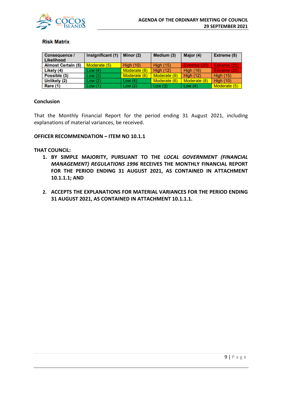

#### **Risk Matrix**

| <b>Consequence /</b><br>Likelihood | Insignificant (1) | Minor (2)        | Medium (3)       | Major (4)        | Extreme (5)      |
|------------------------------------|-------------------|------------------|------------------|------------------|------------------|
| <b>Almost Certain (5)</b>          | Moderate (5)      | <b>High (10)</b> | <b>High (15)</b> | Extreme (20)     | Extreme (25)     |
| Likely (4)                         | Low(4)            | Moderate (8)     | <b>High (12)</b> | <b>High (16)</b> | Extreme (20)     |
| Possible (3)                       | Low(3)            | Moderate (6)     | Moderate (9)     | <b>High (12)</b> | <b>High (15)</b> |
| Unlikely (2)                       | Low(2)            | Low $(4)$        | Moderate (6)     | Moderate (8)     | <b>High (10)</b> |
| Rare (1)                           | Low(1)            | Low $(2)$        | Low $(3)$        | Low $(4)$        | Moderate (5)     |

#### **Conclusion**

That the Monthly Financial Report for the period ending 31 August 2021, including explanations of material variances, be received.

#### **OFFICER RECOMMENDATION – ITEM NO 10.1.1**

#### **THAT COUNCIL:**

- **1. BY SIMPLE MAJORITY, PURSUANT TO THE** *LOCAL GOVERNMENT (FINANCIAL MANAGEMENT) REGULATIONS 1996* **RECEIVES THE MONTHLY FINANCIAL REPORT FOR THE PERIOD ENDING 31 AUGUST 2021, AS CONTAINED IN ATTACHMENT 10.1.1.1; AND**
- **2. ACCEPTS THE EXPLANATIONS FOR MATERIAL VARIANCES FOR THE PERIOD ENDING 31 AUGUST 2021, AS CONTAINED IN ATTACHMENT 10.1.1.1.**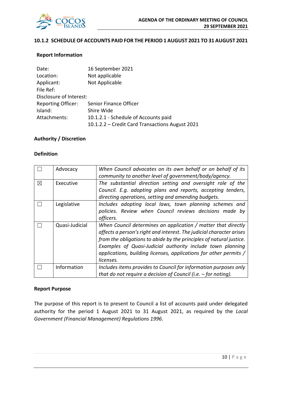

#### **10.1.2 SCHEDULE OF ACCOUNTS PAID FOR THE PERIOD 1 AUGUST 2021 TO 31 AUGUST 2021**

#### **Report Information**

| Date:                     | 16 September 2021                               |
|---------------------------|-------------------------------------------------|
| Location:                 | Not applicable                                  |
| Applicant:                | Not Applicable                                  |
| File Ref:                 |                                                 |
| Disclosure of Interest:   |                                                 |
| <b>Reporting Officer:</b> | Senior Finance Officer                          |
| Island:                   | Shire Wide                                      |
| Attachments:              | 10.1.2.1 - Schedule of Accounts paid            |
|                           | 10.1.2.2 - Credit Card Transactions August 2021 |

#### **Authority / Discretion**

#### **Definition**

|   | Advocacy       | When Council advocates on its own behalf or on behalf of its<br>community to another level of government/body/agency.                                                                                                                                                                                                                                        |
|---|----------------|--------------------------------------------------------------------------------------------------------------------------------------------------------------------------------------------------------------------------------------------------------------------------------------------------------------------------------------------------------------|
| X | Executive      | The substantial direction setting and oversight role of the<br>Council. E.g. adopting plans and reports, accepting tenders,<br>directing operations, setting and amending budgets.                                                                                                                                                                           |
|   | Legislative    | Includes adopting local laws, town planning schemes and<br>policies. Review when Council reviews decisions made by<br>officers.                                                                                                                                                                                                                              |
|   | Quasi-Judicial | When Council determines an application / matter that directly<br>affects a person's right and interest. The judicial character arises<br>from the obligations to abide by the principles of natural justice.<br>Examples of Quasi-Judicial authority include town planning<br>applications, building licenses, applications for other permits /<br>licenses. |
|   | Information    | Includes items provides to Council for information purposes only<br>that do not require a decision of Council (i.e. $-$ for noting).                                                                                                                                                                                                                         |

#### **Report Purpose**

The purpose of this report is to present to Council a list of accounts paid under delegated authority for the period 1 August 2021 to 31 August 2021, as required by the *Local Government (Financial Management) Regulations 1996*.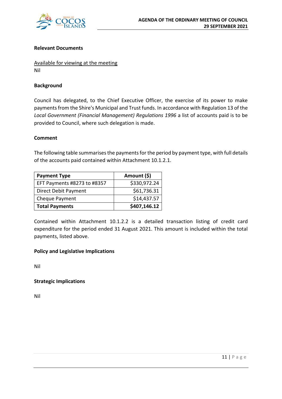

#### **Relevant Documents**

Available for viewing at the meeting Nil

#### **Background**

Council has delegated, to the Chief Executive Officer, the exercise of its power to make payments from the Shire's Municipal and Trust funds. In accordance with Regulation 13 of the *Local Government (Financial Management) Regulations 1996* a list of accounts paid is to be provided to Council, where such delegation is made.

#### **Comment**

The following table summarises the payments for the period by payment type, with full details of the accounts paid contained within Attachment 10.1.2.1.

| <b>Payment Type</b>         | Amount (\$)  |
|-----------------------------|--------------|
| EFT Payments #8273 to #8357 | \$330,972.24 |
| <b>Direct Debit Payment</b> | \$61,736.31  |
| Cheque Payment              | \$14,437.57  |
| <b>Total Payments</b>       | \$407,146.12 |

Contained within Attachment 10.1.2.2 is a detailed transaction listing of credit card expenditure for the period ended 31 August 2021. This amount is included within the total payments, listed above.

#### **Policy and Legislative Implications**

Nil

**Strategic Implications**

Nil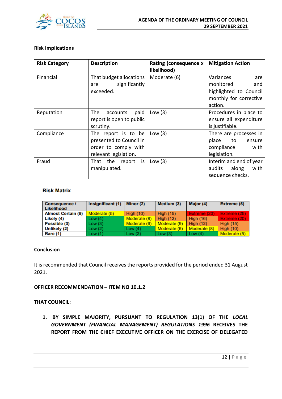

#### **Risk Implications**

| <b>Risk Category</b> | <b>Description</b>                                                                              | Rating (consequence x<br>likelihood) | <b>Mitigation Action</b>                                                                            |
|----------------------|-------------------------------------------------------------------------------------------------|--------------------------------------|-----------------------------------------------------------------------------------------------------|
| Financial            | That budget allocations<br>significantly<br>are<br>exceeded.                                    | Moderate (6)                         | Variances<br>are<br>monitored<br>and<br>highlighted to Council<br>monthly for corrective<br>action. |
| Reputation           | The<br>accounts<br>paid<br>report is open to public<br>scrutiny.                                | Low $(3)$                            | Procedures in place to<br>ensure all expenditure<br>is justifiable.                                 |
| Compliance           | The report is to be<br>presented to Council in<br>order to comply with<br>relevant legislation. | Low $(3)$                            | There are processes in<br>place<br>to to<br>ensure<br>compliance<br>with<br>legislation.            |
| Fraud                | That the report<br>is.<br>manipulated.                                                          | Low $(3)$                            | Interim and end of year<br>along<br>with<br>audits<br>sequence checks.                              |

#### **Risk Matrix**

| <b>Consequence /</b><br>Likelihood | Insignificant (1) | Minor (2)        | Medium (3)       | Major (4)        | <b>Extreme (5)</b> |
|------------------------------------|-------------------|------------------|------------------|------------------|--------------------|
| <b>Almost Certain (5)</b>          | Moderate (5)      | <b>High (10)</b> | <b>High (15)</b> | Extreme (20)     | Extreme (25)       |
| Likely (4)                         | Low(4)            | Moderate (8)     | High $(12)$      | <b>High (16)</b> | Extreme (20)       |
| Possible (3)                       | Low(3)            | Moderate (6)     | Moderate (9)     | <b>High (12)</b> | <b>High (15)</b>   |
| Unlikely (2)                       | Low(2)            | Low $(4)$        | Moderate (6)     | Moderate (8)     | <b>High (10)</b>   |
| <b>Rare (1)</b>                    | Low(1)            | Low(2)           | Low(3)           | Low $(4)$        | Moderate (5)       |

#### **Conclusion**

It is recommended that Council receives the reports provided for the period ended 31 August 2021.

**OFFICER RECOMMENDATION – ITEM NO 10.1.2**

**THAT COUNCIL:**

**1. BY SIMPLE MAJORITY, PURSUANT TO REGULATION 13(1) OF THE** *LOCAL GOVERNMENT (FINANCIAL MANAGEMENT) REGULATIONS 1996* **RECEIVES THE REPORT FROM THE CHIEF EXECUTIVE OFFICER ON THE EXERCISE OF DELEGATED**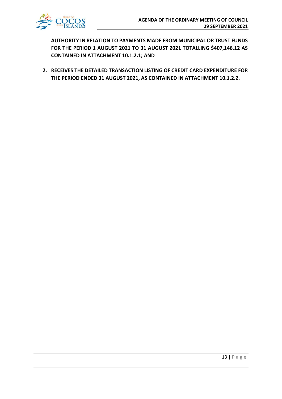

**AUTHORITY IN RELATION TO PAYMENTS MADE FROM MUNICIPAL OR TRUST FUNDS FOR THE PERIOD 1 AUGUST 2021 TO 31 AUGUST 2021 TOTALLING \$407,146.12 AS CONTAINED IN ATTACHMENT 10.1.2.1; AND**

**2. RECEIVES THE DETAILED TRANSACTION LISTING OF CREDIT CARD EXPENDITURE FOR THE PERIOD ENDED 31 AUGUST 2021, AS CONTAINED IN ATTACHMENT 10.1.2.2.**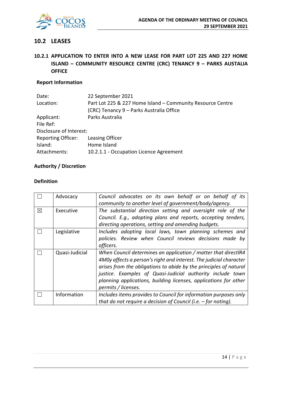

## **10.2 LEASES**

## **10.2.1 APPLICATION TO ENTER INTO A NEW LEASE FOR PART LOT 225 AND 227 HOME ISLAND – COMMUNITY RESOURCE CENTRE (CRC) TENANCY 9 – PARKS AUSTALIA OFFICE**

## **Report Information**

| Date:                     | 22 September 2021                                          |
|---------------------------|------------------------------------------------------------|
| Location:                 | Part Lot 225 & 227 Home Island – Community Resource Centre |
|                           | (CRC) Tenancy 9 - Parks Australia Office                   |
| Applicant:                | Parks Australia                                            |
| File Ref:                 |                                                            |
| Disclosure of Interest:   |                                                            |
| <b>Reporting Officer:</b> | Leasing Officer                                            |
| Island:                   | Home Island                                                |
| Attachments:              | 10.2.1.1 - Occupation Licence Agreement                    |
|                           |                                                            |

#### **Authority / Discretion**

#### **Definition**

|             | Advocacy       | Council advocates on its own behalf or on behalf of its<br>community to another level of government/body/agency.                                                                                                                                                                                                                                                   |
|-------------|----------------|--------------------------------------------------------------------------------------------------------------------------------------------------------------------------------------------------------------------------------------------------------------------------------------------------------------------------------------------------------------------|
| $\boxtimes$ | Executive      | The substantial direction setting and oversight role of the<br>Council. E.g., adopting plans and reports, accepting tenders,<br>directing operations, setting and amending budgets.                                                                                                                                                                                |
|             | Legislative    | Includes adopting local laws, town planning schemes and<br>policies. Review when Council reviews decisions made by<br>officers.                                                                                                                                                                                                                                    |
|             | Quasi-Judicial | When Council determines an application / matter that directlR4<br>4MOy affects a person's right and interest. The judicial character<br>arises from the obligations to abide by the principles of natural<br>justice. Examples of Quasi-Judicial authority include town<br>planning applications, building licenses, applications for other<br>permits / licenses. |
|             | Information    | Includes items provides to Council for information purposes only<br>that do not require a decision of Council (i.e. $-$ for noting).                                                                                                                                                                                                                               |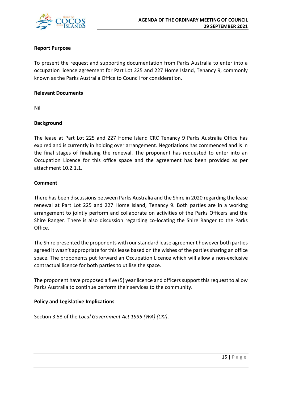

#### **Report Purpose**

To present the request and supporting documentation from Parks Australia to enter into a occupation licence agreement for Part Lot 225 and 227 Home Island, Tenancy 9, commonly known as the Parks Australia Office to Council for consideration.

#### **Relevant Documents**

Nil

#### **Background**

The lease at Part Lot 225 and 227 Home Island CRC Tenancy 9 Parks Australia Office has expired and is currently in holding over arrangement. Negotiations has commenced and is in the final stages of finalising the renewal. The proponent has requested to enter into an Occupation Licence for this office space and the agreement has been provided as per attachment 10.2.1.1.

#### **Comment**

There has been discussions between Parks Australia and the Shire in 2020 regarding the lease renewal at Part Lot 225 and 227 Home Island, Tenancy 9. Both parties are in a working arrangement to jointly perform and collaborate on activities of the Parks Officers and the Shire Ranger. There is also discussion regarding co-locating the Shire Ranger to the Parks Office.

The Shire presented the proponents with our standard lease agreement however both parties agreed it wasn't appropriate for this lease based on the wishes of the parties sharing an office space. The proponents put forward an Occupation Licence which will allow a non-exclusive contractual licence for both parties to utilise the space.

The proponent have proposed a five (5) year licence and officers support this request to allow Parks Australia to continue perform their services to the community.

#### **Policy and Legislative Implications**

Section 3.58 of the *Local Government Act 1995 (WA) (CKI)*.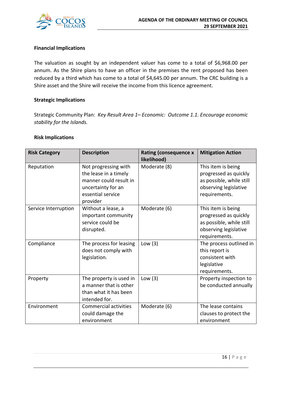

#### **Financial Implications**

The valuation as sought by an independent valuer has come to a total of \$6,968.00 per annum. As the Shire plans to have an officer in the premises the rent proposed has been reduced by a third which has come to a total of \$4,645.00 per annum. The CRC building is a Shire asset and the Shire will receive the income from this licence agreement.

#### **Strategic Implications**

Strategic Community Plan: *Key Result Area 1– Economic: Outcome 1.1. Encourage economic stability for the Islands.*

#### **Risk Implications**

| <b>Risk Category</b> | <b>Description</b>                                                                                                             | <b>Rating (consequence x</b><br>likelihood) | <b>Mitigation Action</b>                                                                                          |
|----------------------|--------------------------------------------------------------------------------------------------------------------------------|---------------------------------------------|-------------------------------------------------------------------------------------------------------------------|
| Reputation           | Not progressing with<br>the lease in a timely<br>manner could result in<br>uncertainty for an<br>essential service<br>provider | Moderate (8)                                | This item is being<br>progressed as quickly<br>as possible, while still<br>observing legislative<br>requirements. |
| Service Interruption | Without a lease, a<br>important community<br>service could be<br>disrupted.                                                    | Moderate (6)                                | This item is being<br>progressed as quickly<br>as possible, while still<br>observing legislative<br>requirements. |
| Compliance           | The process for leasing<br>does not comply with<br>legislation.                                                                | Low $(3)$                                   | The process outlined in<br>this report is<br>consistent with<br>legislative<br>requirements.                      |
| Property             | The property is used in<br>a manner that is other<br>than what it has been<br>intended for.                                    | Low $(3)$                                   | Property inspection to<br>be conducted annually                                                                   |
| Environment          | <b>Commercial activities</b><br>could damage the<br>environment                                                                | Moderate (6)                                | The lease contains<br>clauses to protect the<br>environment                                                       |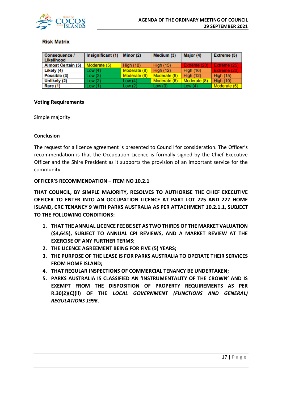

#### **Risk Matrix**

| Consequence /<br>Likelihood | Insignificant (1) | Minor (2)    | Medium (3)       | Major (4)        | <b>Extreme (5)</b> |
|-----------------------------|-------------------|--------------|------------------|------------------|--------------------|
| <b>Almost Certain (5)</b>   | Moderate (5)      | High $(10)$  | <b>High (15)</b> | Extreme (20)     | Extreme (25)       |
| Likely (4)                  | Low(4)            | Moderate (8) | <b>High (12)</b> | <b>High (16)</b> | Extreme (20)       |
| Possible (3)                | Low(3)            | Moderate (6) | Moderate (9)     | <b>High (12)</b> | <b>High (15)</b>   |
| Unlikely (2)                | Low(2)            | Low $(4)$    | Moderate (6)     | Moderate (8)     | <b>High (10)</b>   |
| Rare (1)                    | Low(1)            | Low $(2)$    | Low $(3)$        | Low $(4)$        | Moderate (5)       |

#### **Voting Requirements**

Simple majority

#### **Conclusion**

The request for a licence agreement is presented to Council for consideration. The Officer's recommendation is that the Occupation Licence is formally signed by the Chief Executive Officer and the Shire President as it supports the provision of an important service for the community.

#### **OFFICER'S RECOMMENDATION – ITEM NO 10.2.1**

**THAT COUNCIL, BY SIMPLE MAJORITY, RESOLVES TO AUTHORISE THE CHIEF EXECUTIVE OFFICER TO ENTER INTO AN OCCUPATION LICENCE AT PART LOT 225 AND 227 HOME ISLAND, CRC TENANCY 9 WITH PARKS AUSTRALIA AS PER ATTACHMENT 10.2.1.1, SUBJECT TO THE FOLLOWING CONDITIONS:**

- **1. THAT THE ANNUAL LICENCE FEE BE SET AS TWO THIRDS OF THE MARKET VALUATION (\$4,645), SUBJECT TO ANNUAL CPI REVIEWS, AND A MARKET REVIEW AT THE EXERCISE OF ANY FURTHER TERMS;**
- **2. THE LICENCE AGREEMENT BEING FOR FIVE (5) YEARS;**
- **3. THE PURPOSE OF THE LEASE IS FOR PARKS AUSTRALIA TO OPERATE THEIR SERVICES FROM HOME ISLAND;**
- **4. THAT REGULAR INSPECTIONS OF COMMERCIAL TENANCY BE UNDERTAKEN;**
- **5. PARKS AUSTRALIA IS CLASSIFIED AN 'INSTRUMENTALITY OF THE CROWN' AND IS EXEMPT FROM THE DISPOSITION OF PROPERTY REQUIREMENTS AS PER R.30(2)(C)(ii) OF THE** *LOCAL GOVERNMENT (FUNCTIONS AND GENERAL) REGULATIONS 1996***.**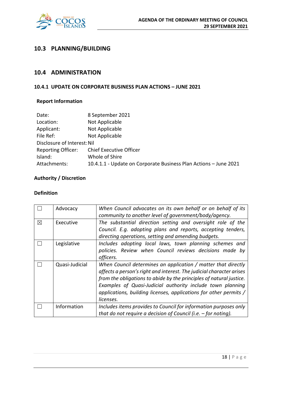

## **10.3 PLANNING/BUILDING**

#### **10.4 ADMINISTRATION**

#### **10.4.1 UPDATE ON CORPORATE BUSINESS PLAN ACTIONS – JUNE 2021**

#### **Report Information**

| Date:                       | 8 September 2021                                                 |
|-----------------------------|------------------------------------------------------------------|
| Location:                   | Not Applicable                                                   |
| Applicant:                  | Not Applicable                                                   |
| File Ref:                   | Not Applicable                                                   |
| Disclosure of Interest: Nil |                                                                  |
| <b>Reporting Officer:</b>   | <b>Chief Executive Officer</b>                                   |
| Island:                     | Whole of Shire                                                   |
| Attachments:                | 10.4.1.1 - Update on Corporate Business Plan Actions - June 2021 |

## **Authority / Discretion**

#### **Definition**

|   | Advocacy       | When Council advocates on its own behalf or on behalf of its         |
|---|----------------|----------------------------------------------------------------------|
|   |                | community to another level of government/body/agency.                |
| ⊠ | Executive      | The substantial direction setting and oversight role of the          |
|   |                | Council. E.g. adopting plans and reports, accepting tenders,         |
|   |                | directing operations, setting and amending budgets.                  |
|   | Legislative    | Includes adopting local laws, town planning schemes and              |
|   |                | policies. Review when Council reviews decisions made by              |
|   |                | officers.                                                            |
|   | Quasi-Judicial | When Council determines an application / matter that directly        |
|   |                | affects a person's right and interest. The judicial character arises |
|   |                | from the obligations to abide by the principles of natural justice.  |
|   |                | Examples of Quasi-Judicial authority include town planning           |
|   |                | applications, building licenses, applications for other permits /    |
|   |                | licenses.                                                            |
|   | Information    | Includes items provides to Council for information purposes only     |
|   |                | that do not require a decision of Council (i.e. $-$ for noting).     |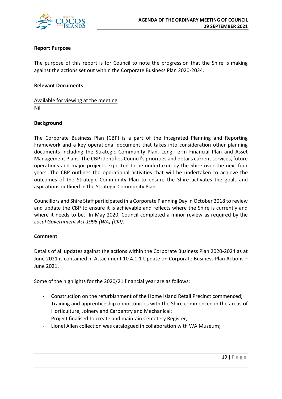

#### **Report Purpose**

The purpose of this report is for Council to note the progression that the Shire is making against the actions set out within the Corporate Business Plan 2020-2024.

#### **Relevant Documents**

Available for viewing at the meeting Nil

#### **Background**

The Corporate Business Plan (CBP) is a part of the Integrated Planning and Reporting Framework and a key operational document that takes into consideration other planning documents including the Strategic Community Plan, Long Term Financial Plan and Asset Management Plans. The CBP identifies Council's priorities and details current services, future operations and major projects expected to be undertaken by the Shire over the next four years. The CBP outlines the operational activities that will be undertaken to achieve the outcomes of the Strategic Community Plan to ensure the Shire activates the goals and aspirations outlined in the Strategic Community Plan.

Councillors and Shire Staff participated in a Corporate Planning Day in October 2018 to review and update the CBP to ensure it is achievable and reflects where the Shire is currently and where it needs to be. In May 2020, Council completed a minor review as required by the *Local Government Act 1995 (WA) (CKI)*.

#### **Comment**

Details of all updates against the actions within the Corporate Business Plan 2020-2024 as at June 2021 is contained in Attachment 10.4.1.1 Update on Corporate Business Plan Actions – June 2021.

Some of the highlights for the 2020/21 financial year are as follows:

- Construction on the refurbishment of the Home Island Retail Precinct commenced;
- Training and apprenticeship opportunities with the Shire commenced in the areas of Horticulture, Joinery and Carpentry and Mechanical;
- Project finalised to create and maintain Cemetery Register;
- Lionel Allen collection was catalogued in collaboration with WA Museum;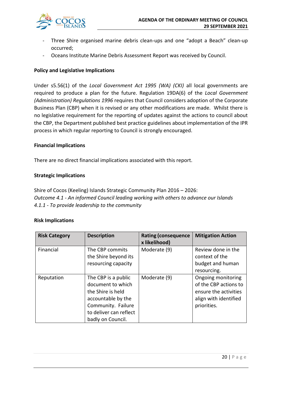

- Three Shire organised marine debris clean-ups and one "adopt a Beach" clean-up occurred;
- Oceans Institute Marine Debris Assessment Report was received by Council.

#### **Policy and Legislative Implications**

Under s5.56(1) of the *Local Government Act 1995 (WA) (CKI)* all local governments are required to produce a plan for the future. Regulation 19DA(6) of the *Local Government (Administration) Regulations 1996* requires that Council considers adoption of the Corporate Business Plan (CBP) when it is revised or any other modifications are made. Whilst there is no legislative requirement for the reporting of updates against the actions to council about the CBP, the Department published best practice guidelines about implementation of the IPR process in which regular reporting to Council is strongly encouraged.

#### **Financial Implications**

There are no direct financial implications associated with this report.

#### **Strategic Implications**

Shire of Cocos (Keeling) Islands Strategic Community Plan 2016 – 2026: *Outcome 4.1 - An informed Council leading working with others to advance our Islands 4.1.1 - To provide leadership to the community*

#### **Risk Implications**

| <b>Risk Category</b> | <b>Description</b>                                                                                                                                       | <b>Rating (consequence</b><br>x likelihood) | <b>Mitigation Action</b>                                                                                     |
|----------------------|----------------------------------------------------------------------------------------------------------------------------------------------------------|---------------------------------------------|--------------------------------------------------------------------------------------------------------------|
| Financial            | The CBP commits<br>the Shire beyond its<br>resourcing capacity                                                                                           | Moderate (9)                                | Review done in the<br>context of the<br>budget and human<br>resourcing.                                      |
| Reputation           | The CBP is a public<br>document to which<br>the Shire is held<br>accountable by the<br>Community. Failure<br>to deliver can reflect<br>badly on Council. | Moderate (9)                                | Ongoing monitoring<br>of the CBP actions to<br>ensure the activities<br>align with identified<br>priorities. |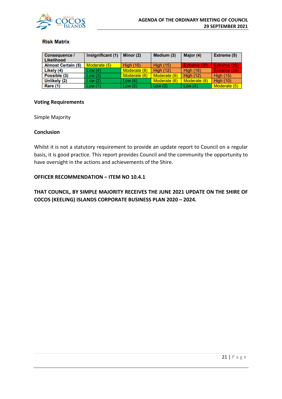

#### **Risk Matrix**

| Consequence /<br>Likelihood | Insignificant (1) | Minor (2)        | Medium (3)       | Major (4)        | Extreme (5)         |
|-----------------------------|-------------------|------------------|------------------|------------------|---------------------|
| <b>Almost Certain (5)</b>   | Moderate (5)      | <b>High (10)</b> | <b>High (15)</b> | Extreme (20)     | Extreme (25)        |
| Likely (4)                  | Low(4)            | Moderate (8)     | <b>High (12)</b> | <b>High (16)</b> | <b>Extreme (20)</b> |
| Possible (3)                | Low(3)            | Moderate (6)     | Moderate (9)     | High $(12)$      | <b>High (15)</b>    |
| Unlikely (2)                | Low(2)            | Low $(4)$        | Moderate (6)     | Moderate (8)     | <b>High (10)</b>    |
| Rare (1)                    | Low(1)            | Low $(2)$        | Low(3)           | Low $(4)$        | Moderate (5)        |

#### **Voting Requirements**

Simple Majority

#### **Conclusion**

Whilst it is not a statutory requirement to provide an update report to Council on a regular basis, it is good practice. This report provides Council and the community the opportunity to have oversight in the actions and achievements of the Shire.

#### **OFFICER RECOMMENDATION – ITEM NO 10.4.1**

**THAT COUNCIL, BY SIMPLE MAJORITY RECEIVES THE JUNE 2021 UPDATE ON THE SHIRE OF COCOS (KEELING) ISLANDS CORPORATE BUSINESS PLAN 2020 – 2024.**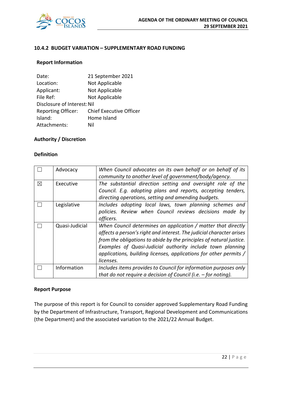

#### **10.4.2 BUDGET VARIATION – SUPPLEMENTARY ROAD FUNDING**

#### **Report Information**

| Date:                       | 21 September 2021              |
|-----------------------------|--------------------------------|
| Location:                   | Not Applicable                 |
| Applicant:                  | Not Applicable                 |
| File Ref:                   | Not Applicable                 |
| Disclosure of Interest: Nil |                                |
| <b>Reporting Officer:</b>   | <b>Chief Executive Officer</b> |
| Island:                     | Home Island                    |
| Attachments:                | Nil                            |

#### **Authority / Discretion**

#### **Definition**

|             | Advocacy       | When Council advocates on its own behalf or on behalf of its<br>community to another level of government/body/agency.                                                                                                                                                                                                                                        |
|-------------|----------------|--------------------------------------------------------------------------------------------------------------------------------------------------------------------------------------------------------------------------------------------------------------------------------------------------------------------------------------------------------------|
| $\boxtimes$ | Executive      | The substantial direction setting and oversight role of the<br>Council. E.g. adopting plans and reports, accepting tenders,<br>directing operations, setting and amending budgets.                                                                                                                                                                           |
|             | Legislative    | Includes adopting local laws, town planning schemes and<br>policies. Review when Council reviews decisions made by<br>officers.                                                                                                                                                                                                                              |
|             | Quasi-Judicial | When Council determines an application / matter that directly<br>affects a person's right and interest. The judicial character arises<br>from the obligations to abide by the principles of natural justice.<br>Examples of Quasi-Judicial authority include town planning<br>applications, building licenses, applications for other permits /<br>licenses. |
|             | Information    | Includes items provides to Council for information purposes only<br>that do not require a decision of Council (i.e. $-$ for noting).                                                                                                                                                                                                                         |

#### **Report Purpose**

The purpose of this report is for Council to consider approved Supplementary Road Funding by the Department of Infrastructure, Transport, Regional Development and Communications (the Department) and the associated variation to the 2021/22 Annual Budget.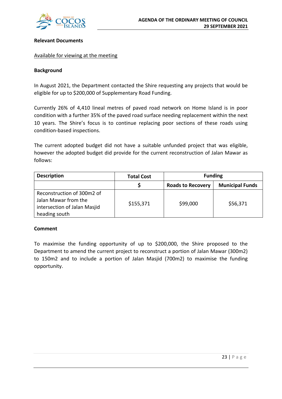

#### **Relevant Documents**

#### Available for viewing at the meeting

#### **Background**

In August 2021, the Department contacted the Shire requesting any projects that would be eligible for up to \$200,000 of Supplementary Road Funding.

Currently 26% of 4,410 lineal metres of paved road network on Home Island is in poor condition with a further 35% of the paved road surface needing replacement within the next 10 years. The Shire's focus is to continue replacing poor sections of these roads using condition-based inspections.

The current adopted budget did not have a suitable unfunded project that was eligible, however the adopted budget did provide for the current reconstruction of Jalan Mawar as follows:

| <b>Description</b>                                                                                  | <b>Total Cost</b> | <b>Funding</b>           |                        |  |
|-----------------------------------------------------------------------------------------------------|-------------------|--------------------------|------------------------|--|
|                                                                                                     |                   | <b>Roads to Recovery</b> | <b>Municipal Funds</b> |  |
| Reconstruction of 300m2 of<br>Jalan Mawar from the<br>intersection of Jalan Masjid<br>heading south | \$155,371         | \$99,000                 | \$56,371               |  |

#### **Comment**

To maximise the funding opportunity of up to \$200,000, the Shire proposed to the Department to amend the current project to reconstruct a portion of Jalan Mawar (300m2) to 150m2 and to include a portion of Jalan Masjid (700m2) to maximise the funding opportunity.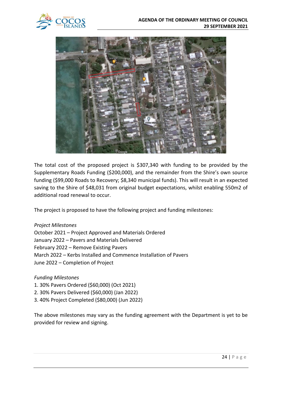



The total cost of the proposed project is \$307,340 with funding to be provided by the Supplementary Roads Funding (\$200,000), and the remainder from the Shire's own source funding (\$99,000 Roads to Recovery; \$8,340 municipal funds). This will result in an expected saving to the Shire of \$48,031 from original budget expectations, whilst enabling 550m2 of additional road renewal to occur.

The project is proposed to have the following project and funding milestones:

*Project Milestones* October 2021 – Project Approved and Materials Ordered January 2022 – Pavers and Materials Delivered February 2022 – Remove Existing Pavers March 2022 – Kerbs Installed and Commence Installation of Pavers June 2022 – Completion of Project

#### *Funding Milestones*

- 1. 30% Pavers Ordered (\$60,000) (Oct 2021)
- 2. 30% Pavers Delivered (\$60,000) (Jan 2022)
- 3. 40% Project Completed (\$80,000) (Jun 2022)

The above milestones may vary as the funding agreement with the Department is yet to be provided for review and signing.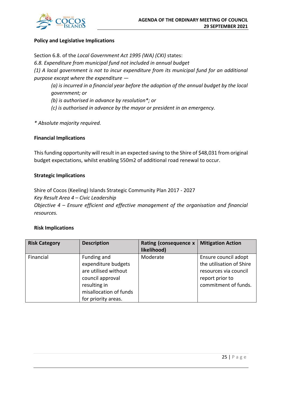

#### **Policy and Legislative Implications**

Section 6.8. of the *Local Government Act 1995 (WA) (CKI)* states: *6.8. Expenditure from municipal fund not included in annual budget (1) A local government is not to incur expenditure from its municipal fund for an additional purpose except where the expenditure — (a) is incurred in a financial year before the adoption of the annual budget by the local government; or (b) is authorised in advance by resolution\*; or* 

- *(c) is authorised in advance by the mayor or president in an emergency.*
- *\* Absolute majority required.*

#### **Financial Implications**

This funding opportunity will result in an expected saving to the Shire of \$48,031 from original budget expectations, whilst enabling 550m2 of additional road renewal to occur.

#### **Strategic Implications**

Shire of Cocos (Keeling) Islands Strategic Community Plan 2017 - 2027 *Key Result Area 4 – Civic Leadership Objective 4 – Ensure efficient and effective management of the organisation and financial resources.*

#### **Risk Implications**

| <b>Risk Category</b> | <b>Description</b>                                                                                                                              | Rating (consequence x<br>likelihood) | <b>Mitigation Action</b>                                                                                             |
|----------------------|-------------------------------------------------------------------------------------------------------------------------------------------------|--------------------------------------|----------------------------------------------------------------------------------------------------------------------|
| Financial            | Funding and<br>expenditure budgets<br>are utilised without<br>council approval<br>resulting in<br>misallocation of funds<br>for priority areas. | Moderate                             | Ensure council adopt<br>the utilisation of Shire<br>resources via council<br>report prior to<br>commitment of funds. |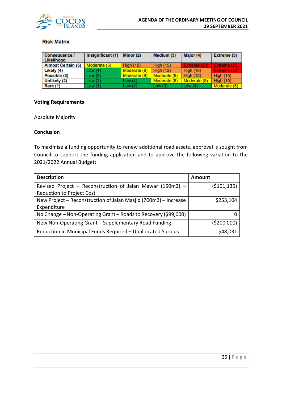

#### **Risk Matrix**

| Consequence /<br>Likelihood | Insignificant (1) | Minor (2)        | Medium (3)       | Major (4)        | Extreme (5)      |
|-----------------------------|-------------------|------------------|------------------|------------------|------------------|
| <b>Almost Certain (5)</b>   | Moderate (5)      | <b>High (10)</b> | <b>High (15)</b> | Extreme (20)     | Extreme (25)     |
| Likely (4)                  | Low (4)           | Moderate (8)     | <b>High (12)</b> | <b>High (16)</b> | Extreme (20)     |
| Possible (3)                | Low(3)            | Moderate (6)     | Moderate (9)     | <b>High (12)</b> | <b>High (15)</b> |
| Unlikely (2)                | Low (2)           | Low(4)           | Moderate (6)     | Moderate (8)     | <b>High (10)</b> |
| Rare (1)                    | Low (1)           | Low(2)           | Low $(3)$        | Low $(4)$        | Moderate (5)     |

#### **Voting Requirements**

Absolute Majority

#### **Conclusion**

To maximise a funding opportunity to renew additional road assets, approval is sought from Council to support the funding application and to approve the following variation to the 2021/2022 Annual Budget:

| <b>Description</b>                                              | Amount        |
|-----------------------------------------------------------------|---------------|
| Revised Project - Reconstruction of Jalan Mawar (150m2) -       | ( \$101, 135) |
| <b>Reduction to Project Cost</b>                                |               |
| New Project - Reconstruction of Jalan Masjid (700m2) - Increase | \$253,104     |
| Expenditure                                                     |               |
| No Change - Non-Operating Grant - Roads to Recovery (\$99,000)  |               |
| New Non-Operating Grant - Supplementary Road Funding            | (\$200,000)   |
| Reduction in Municipal Funds Required - Unallocated Surplus     | \$48,031      |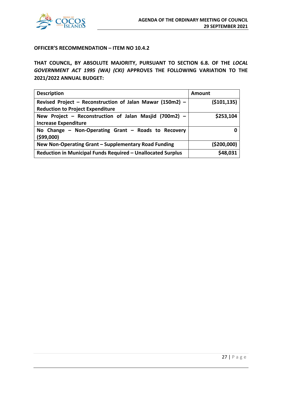

#### **OFFICER'S RECOMMENDATION – ITEM NO 10.4.2**

**THAT COUNCIL, BY ABSOLUTE MAJORITY, PURSUANT TO SECTION 6.8. OF THE** *LOCAL GOVERNMENT ACT 1995 (WA) (CKI)* **APPROVES THE FOLLOWING VARIATION TO THE 2021/2022 ANNUAL BUDGET:**

| <b>Description</b>                                          | Amount        |
|-------------------------------------------------------------|---------------|
| Revised Project - Reconstruction of Jalan Mawar (150m2) -   | ( \$101, 135) |
| <b>Reduction to Project Expenditure</b>                     |               |
| New Project - Reconstruction of Jalan Masjid (700m2) -      | \$253,104     |
| <b>Increase Expenditure</b>                                 |               |
| No Change $-$ Non-Operating Grant $-$ Roads to Recovery     |               |
| ( \$99,000)                                                 |               |
| New Non-Operating Grant - Supplementary Road Funding        | (\$200,000)   |
| Reduction in Municipal Funds Required - Unallocated Surplus | \$48,031      |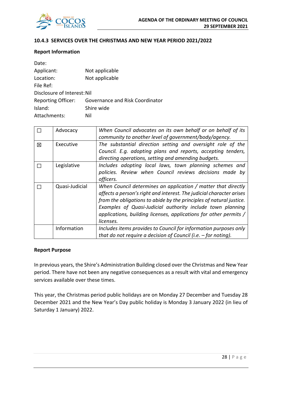

#### **10.4.3 SERVICES OVER THE CHRISTMAS AND NEW YEAR PERIOD 2021/2022**

#### **Report Information**

| Date:                       |                                 |
|-----------------------------|---------------------------------|
| Applicant:                  | Not applicable                  |
| Location:                   | Not applicable                  |
| File Ref:                   |                                 |
| Disclosure of Interest: Nil |                                 |
| <b>Reporting Officer:</b>   | Governance and Risk Coordinator |
| Island:                     | Shire wide                      |
| Attachments:                | Nil                             |

|   | Advocacy       | When Council advocates on its own behalf or on behalf of its<br>community to another level of government/body/agency.                                                                                                                                                                                                                                        |
|---|----------------|--------------------------------------------------------------------------------------------------------------------------------------------------------------------------------------------------------------------------------------------------------------------------------------------------------------------------------------------------------------|
| 図 | Executive      | The substantial direction setting and oversight role of the<br>Council. E.g. adopting plans and reports, accepting tenders,<br>directing operations, setting and amending budgets.                                                                                                                                                                           |
|   | Legislative    | Includes adopting local laws, town planning schemes and<br>policies. Review when Council reviews decisions made by<br>officers.                                                                                                                                                                                                                              |
|   | Quasi-Judicial | When Council determines an application / matter that directly<br>affects a person's right and interest. The judicial character arises<br>from the obligations to abide by the principles of natural justice.<br>Examples of Quasi-Judicial authority include town planning<br>applications, building licenses, applications for other permits /<br>licenses. |
|   | Information    | Includes items provides to Council for information purposes only<br>that do not require a decision of Council (i.e. $-$ for noting).                                                                                                                                                                                                                         |

#### **Report Purpose**

In previous years, the Shire's Administration Building closed over the Christmas and New Year period. There have not been any negative consequences as a result with vital and emergency services available over these times.

This year, the Christmas period public holidays are on Monday 27 December and Tuesday 28 December 2021 and the New Year's Day public holiday is Monday 3 January 2022 (in lieu of Saturday 1 January) 2022.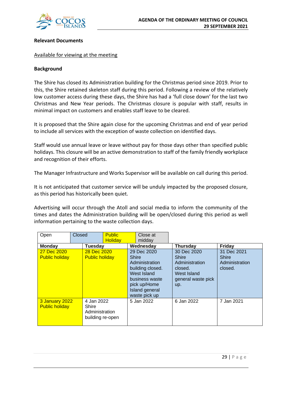

#### **Relevant Documents**

#### Available for viewing at the meeting

#### **Background**

The Shire has closed its Administration building for the Christmas period since 2019. Prior to this, the Shire retained skeleton staff during this period. Following a review of the relatively low customer access during these days, the Shire has had a 'full close down' for the last two Christmas and New Year periods. The Christmas closure is popular with staff, results in minimal impact on customers and enables staff leave to be cleared.

It is proposed that the Shire again close for the upcoming Christmas and end of year period to include all services with the exception of waste collection on identified days.

Staff would use annual leave or leave without pay for those days other than specified public holidays. This closure will be an active demonstration to staff of the family friendly workplace and recognition of their efforts.

The Manager Infrastructure and Works Supervisor will be available on call during this period.

It is not anticipated that customer service will be unduly impacted by the proposed closure, as this period has historically been quiet.

Advertising will occur through the Atoll and social media to inform the community of the times and dates the Administration building will be open/closed during this period as well information pertaining to the waste collection days.

| Open                                    | Closed |                                                           | <b>Public</b><br><b>Holiday</b> | Close at<br>midday                                                                                                                                    |                                                                                               |                                                          |
|-----------------------------------------|--------|-----------------------------------------------------------|---------------------------------|-------------------------------------------------------------------------------------------------------------------------------------------------------|-----------------------------------------------------------------------------------------------|----------------------------------------------------------|
| <b>Monday</b>                           |        | <b>Tuesdav</b>                                            |                                 | Wednesdav                                                                                                                                             | <b>Thursdav</b>                                                                               | Friday                                                   |
| 27 Dec 2020<br><b>Public holiday</b>    |        | 28 Dec 2020<br><b>Public holiday</b>                      |                                 | 29 Dec 2020<br><b>Shire</b><br>Administration<br>building closed.<br>West Island<br>business waste<br>pick up/Home<br>Island general<br>waste pick up | 30 Dec 2020<br>Shire<br>Administration<br>closed.<br>West Island<br>general waste pick<br>up. | 31 Dec 2021<br><b>Shire</b><br>Administration<br>closed. |
| 3 January 2022<br><b>Public holiday</b> |        | 4 Jan 2022<br>Shire<br>Administration<br>building re-open |                                 | 5 Jan 2022                                                                                                                                            | 6 Jan 2022                                                                                    | 7 Jan 2021                                               |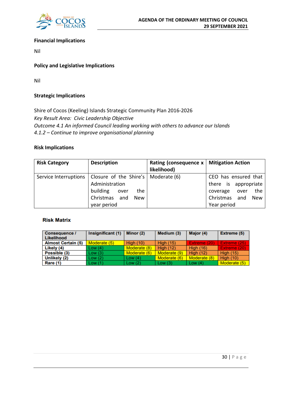

#### **Financial Implications**

Nil

#### **Policy and Legislative Implications**

Nil

#### **Strategic Implications**

Shire of Cocos (Keeling) Islands Strategic Community Plan 2016-2026 *Key Result Area: Civic Leadership Objective Outcome 4.1 An informed Council leading working with others to advance our Islands 4.1.2 – Continue to improve organisational planning*

#### **Risk Implications**

| <b>Risk Category</b>  | <b>Description</b>                      | Rating (consequence x   Mitigation Action<br>likelihood) |                                |
|-----------------------|-----------------------------------------|----------------------------------------------------------|--------------------------------|
| Service Interruptions | Closure of the Shire's   Moderate $(6)$ |                                                          | CEO has ensured that           |
|                       | Administration                          |                                                          | there is appropriate           |
|                       | building<br>the<br>over                 |                                                          | the<br>coverage<br>over        |
|                       | Christmas and<br><b>New</b>             |                                                          | Christmas<br>and<br><b>New</b> |
|                       | year period                             |                                                          | Year period                    |

#### **Risk Matrix**

| <b>Consequence /</b><br>Likelihood | Insignificant (1) | Minor (2)        | Medium (3)       | Major (4)        | <b>Extreme (5)</b> |
|------------------------------------|-------------------|------------------|------------------|------------------|--------------------|
| <b>Almost Certain (5)</b>          | Moderate (5)      | <b>High (10)</b> | High (15)        | Extreme (20)     | Extreme (25)       |
| Likely (4)                         | Low(4)            | Moderate (8)     | <b>High (12)</b> | <b>High (16)</b> | Extreme (20)       |
| Possible (3)                       | Low(3)            | Moderate (6)     | Moderate (9)     | <b>High (12)</b> | <b>High (15)</b>   |
| Unlikely (2)                       | Low(2)            | Low (4)          | Moderate (6)     | Moderate (8)     | <b>High (10)</b>   |
| Rare (1)                           | $\vert$ Low (1)   | Low $(2)$        | Low(3)           | Low $(4)$        | Moderate (5)       |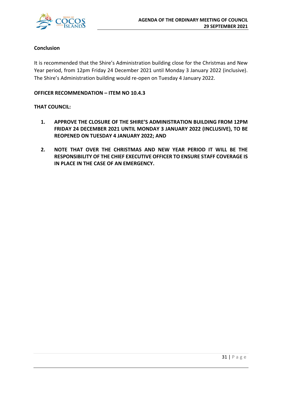

#### **Conclusion**

It is recommended that the Shire's Administration building close for the Christmas and New Year period, from 12pm Friday 24 December 2021 until Monday 3 January 2022 (inclusive). The Shire's Administration building would re-open on Tuesday 4 January 2022.

#### **OFFICER RECOMMENDATION – ITEM NO 10.4.3**

#### **THAT COUNCIL:**

- **1. APPROVE THE CLOSURE OF THE SHIRE'S ADMINISTRATION BUILDING FROM 12PM FRIDAY 24 DECEMBER 2021 UNTIL MONDAY 3 JANUARY 2022 (INCLUSIVE), TO BE REOPENED ON TUESDAY 4 JANUARY 2022; AND**
- **2. NOTE THAT OVER THE CHRISTMAS AND NEW YEAR PERIOD IT WILL BE THE RESPONSIBILITY OF THE CHIEF EXECUTIVE OFFICER TO ENSURE STAFF COVERAGE IS IN PLACE IN THE CASE OF AN EMERGENCY.**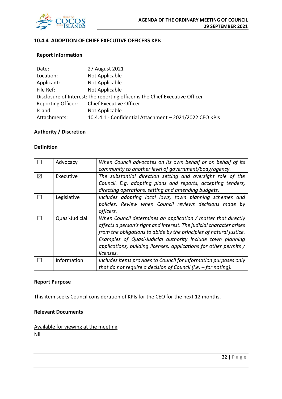

#### **10.4.4 ADOPTION OF CHIEF EXECUTIVE OFFICERS KPIs**

#### **Report Information**

| Date:        | 27 August 2021                                                               |
|--------------|------------------------------------------------------------------------------|
| Location:    | Not Applicable                                                               |
| Applicant:   | Not Applicable                                                               |
| File Ref:    | Not Applicable                                                               |
|              | Disclosure of Interest: The reporting officer is the Chief Executive Officer |
|              | Reporting Officer: Chief Executive Officer                                   |
| Island:      | Not Applicable                                                               |
| Attachments: | 10.4.4.1 - Confidential Attachment - 2021/2022 CEO KPIs                      |

#### **Authority / Discretion**

#### **Definition**

|   | Advocacy       | When Council advocates on its own behalf or on behalf of its<br>community to another level of government/body/agency.                                                                                                                                                                                                                                        |
|---|----------------|--------------------------------------------------------------------------------------------------------------------------------------------------------------------------------------------------------------------------------------------------------------------------------------------------------------------------------------------------------------|
| X | Executive      | The substantial direction setting and oversight role of the<br>Council. E.g. adopting plans and reports, accepting tenders,<br>directing operations, setting and amending budgets.                                                                                                                                                                           |
|   | Legislative    | Includes adopting local laws, town planning schemes and<br>policies. Review when Council reviews decisions made by<br>officers.                                                                                                                                                                                                                              |
|   | Quasi-Judicial | When Council determines an application / matter that directly<br>affects a person's right and interest. The judicial character arises<br>from the obligations to abide by the principles of natural justice.<br>Examples of Quasi-Judicial authority include town planning<br>applications, building licenses, applications for other permits /<br>licenses. |
|   | Information    | Includes items provides to Council for information purposes only<br>that do not require a decision of Council (i.e. $-$ for noting).                                                                                                                                                                                                                         |

#### **Report Purpose**

This item seeks Council consideration of KPIs for the CEO for the next 12 months.

#### **Relevant Documents**

Available for viewing at the meeting Nil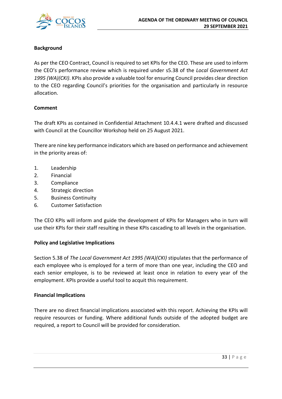

## **Background**

As per the CEO Contract, Council is required to set KPIs for the CEO. These are used to inform the CEO's performance review which is required under s5.38 of the *Local Government Act 1995 (WA)(CKI)*. KPIs also provide a valuable tool for ensuring Council provides clear direction to the CEO regarding Council's priorities for the organisation and particularly in resource allocation.

#### **Comment**

The draft KPIs as contained in Confidential Attachment 10.4.4.1 were drafted and discussed with Council at the Councillor Workshop held on 25 August 2021.

There are nine key performance indicators which are based on performance and achievement in the priority areas of:

- 1. Leadership
- 2. Financial
- 3. Compliance
- 4. Strategic direction
- 5. Business Continuity
- 6. Customer Satisfaction

The CEO KPIs will inform and guide the development of KPIs for Managers who in turn will use their KPIs for their staff resulting in these KPIs cascading to all levels in the organisation.

#### **Policy and Legislative Implications**

Section 5.38 of *The Local Government Act 1995 (WA)(CKI)* stipulates that the performance of each employee who is employed for a term of more than one year, including the CEO and each senior employee, is to be reviewed at least once in relation to every year of the employment. KPIs provide a useful tool to acquit this requirement.

#### **Financial Implications**

There are no direct financial implications associated with this report. Achieving the KPIs will require resources or funding. Where additional funds outside of the adopted budget are required, a report to Council will be provided for consideration.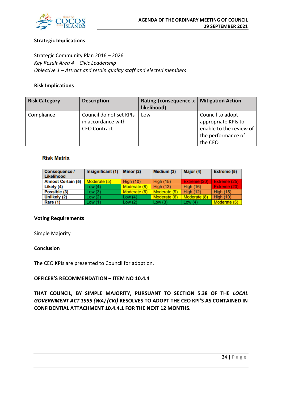

#### **Strategic Implications**

Strategic Community Plan 2016 – 2026 *Key Result Area 4 – Civic Leadership Objective 1 – Attract and retain quality staff and elected members*

#### **Risk Implications**

| <b>Risk Category</b> | <b>Description</b>                                                   | Rating (consequence x<br>likelihood) | <b>Mitigation Action</b>                                                                            |
|----------------------|----------------------------------------------------------------------|--------------------------------------|-----------------------------------------------------------------------------------------------------|
| Compliance           | Council do not set KPIs<br>in accordance with<br><b>CEO Contract</b> | Low                                  | Council to adopt<br>appropriate KPIs to<br>enable to the review of<br>the performance of<br>the CEO |

#### **Risk Matrix**

| Consequence /<br>Likelihood | Insignificant (1) | Minor (2)        | Medium (3)       | Major (4)        | Extreme (5)      |
|-----------------------------|-------------------|------------------|------------------|------------------|------------------|
| <b>Almost Certain (5)</b>   | Moderate (5)      | <b>High (10)</b> | <b>High (15)</b> | Extreme (20)     | Extreme (25).    |
| Likely (4)                  | Low(4)            | Moderate (8)     | <b>High (12)</b> | <b>High (16)</b> | Extreme (20)     |
| Possible (3)                | Low(3)            | Moderate (6)     | Moderate (9)     | <b>High (12)</b> | <b>High (15)</b> |
| Unlikely (2)                | Low(2)            | Low $(4)$        | Moderate (6)     | Moderate (8)     | <b>High (10)</b> |
| Rare (1)                    | Low(1)            | Low $(2)$        | Low $(3)$        | Low $(4)$        | Moderate (5)     |

#### **Voting Requirements**

Simple Majority

#### **Conclusion**

The CEO KPIs are presented to Council for adoption.

#### **OFFICER'S RECOMMENDATION – ITEM NO 10.4.4**

**THAT COUNCIL, BY SIMPLE MAJORITY, PURSUANT TO SECTION 5.38 OF THE** *LOCAL GOVERNMENT ACT 1995 (WA) (CKI)* **RESOLVES TO ADOPT THE CEO KPI'S AS CONTAINED IN CONFIDENTIAL ATTACHMENT 10.4.4.1 FOR THE NEXT 12 MONTHS.**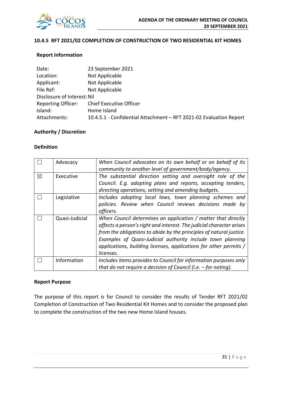

#### **10.4.5 RFT 2021/02 COMPLETION OF CONSTRUCTION OF TWO RESIDENTIAL KIT HOMES**

#### **Report Information**

| Date:                       | 23 September 2021                                                  |
|-----------------------------|--------------------------------------------------------------------|
| Location:                   | Not Applicable                                                     |
| Applicant:                  | Not Applicable                                                     |
| File Ref:                   | Not Applicable                                                     |
| Disclosure of Interest: Nil |                                                                    |
| <b>Reporting Officer:</b>   | Chief Executive Officer                                            |
| Island:                     | Home Island                                                        |
| Attachments:                | 10.4.5.1 - Confidential Attachment - RFT 2021-02 Evaluation Report |

#### **Authority / Discretion**

#### **Definition**

|   | Advocacy       | When Council advocates on its own behalf or on behalf of its<br>community to another level of government/body/agency.                                                                                                                                                                                                                                        |
|---|----------------|--------------------------------------------------------------------------------------------------------------------------------------------------------------------------------------------------------------------------------------------------------------------------------------------------------------------------------------------------------------|
| X | Executive      | The substantial direction setting and oversight role of the<br>Council. E.g. adopting plans and reports, accepting tenders,<br>directing operations, setting and amending budgets.                                                                                                                                                                           |
|   | Legislative    | Includes adopting local laws, town planning schemes and<br>policies. Review when Council reviews decisions made by<br>officers.                                                                                                                                                                                                                              |
|   | Quasi-Judicial | When Council determines an application / matter that directly<br>affects a person's right and interest. The judicial character arises<br>from the obligations to abide by the principles of natural justice.<br>Examples of Quasi-Judicial authority include town planning<br>applications, building licenses, applications for other permits /<br>licenses. |
|   | Information    | Includes items provides to Council for information purposes only<br>that do not require a decision of Council (i.e. $-$ for noting).                                                                                                                                                                                                                         |

#### **Report Purpose**

The purpose of this report is for Council to consider the results of Tender RFT 2021/02 Completion of Construction of Two Residential Kit Homes and to consider the proposed plan to complete the construction of the two new Home Island houses.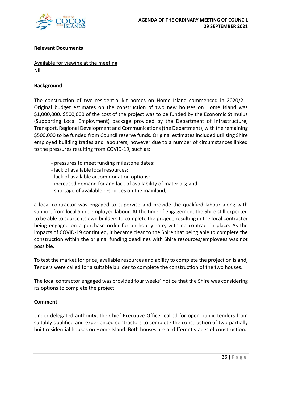

#### **Relevant Documents**

Available for viewing at the meeting Nil

#### **Background**

The construction of two residential kit homes on Home Island commenced in 2020/21. Original budget estimates on the construction of two new houses on Home Island was \$1,000,000. \$500,000 of the cost of the project was to be funded by the Economic Stimulus (Supporting Local Employment) package provided by the Department of Infrastructure, Transport, Regional Development and Communications (the Department), with the remaining \$500,000 to be funded from Council reserve funds. Original estimates included utilising Shire employed building trades and labourers, however due to a number of circumstances linked to the pressures resulting from COVID-19, such as:

- pressures to meet funding milestone dates;
- lack of available local resources;
- lack of available accommodation options;
- increased demand for and lack of availability of materials; and
- shortage of available resources on the mainland;

a local contractor was engaged to supervise and provide the qualified labour along with support from local Shire employed labour. At the time of engagement the Shire still expected to be able to source its own builders to complete the project, resulting in the local contractor being engaged on a purchase order for an hourly rate, with no contract in place. As the impacts of COVID-19 continued, it became clear to the Shire that being able to complete the construction within the original funding deadlines with Shire resources/employees was not possible.

To test the market for price, available resources and ability to complete the project on island, Tenders were called for a suitable builder to complete the construction of the two houses.

The local contractor engaged was provided four weeks' notice that the Shire was considering its options to complete the project.

#### **Comment**

Under delegated authority, the Chief Executive Officer called for open public tenders from suitably qualified and experienced contractors to complete the construction of two partially built residential houses on Home Island. Both houses are at different stages of construction.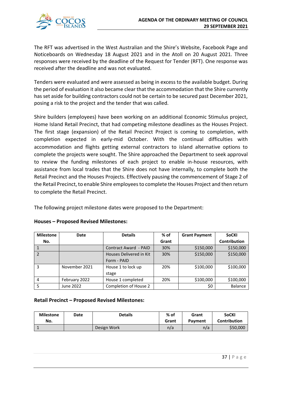

The RFT was advertised in the West Australian and the Shire's Website, Facebook Page and Noticeboards on Wednesday 18 August 2021 and in the Atoll on 20 August 2021. Three responses were received by the deadline of the Request for Tender (RFT). One response was received after the deadline and was not evaluated.

Tenders were evaluated and were assessed as being in excess to the available budget. During the period of evaluation it also became clear that the accommodation that the Shire currently has set aside for building contractors could not be certain to be secured past December 2021, posing a risk to the project and the tender that was called.

Shire builders (employees) have been working on an additional Economic Stimulus project, Home Island Retail Precinct, that had competing milestone deadlines as the Houses Project. The first stage (expansion) of the Retail Precinct Project is coming to completion, with completion expected in early-mid October. With the continual difficulties with accommodation and flights getting external contractors to island alternative options to complete the projects were sought. The Shire approached the Department to seek approval to review the funding milestones of each project to enable in-house resources, with assistance from local trades that the Shire does not have internally, to complete both the Retail Precinct and the Houses Projects. Effectively pausing the commencement of Stage 2 of the Retail Precinct, to enable Shire employees to complete the Houses Project and then return to complete the Retail Precinct.

The following project milestone dates were proposed to the Department:

| <b>Milestone</b> | Date          | <b>Details</b>               | % of  | <b>Grant Payment</b> | <b>SoCKI</b>        |
|------------------|---------------|------------------------------|-------|----------------------|---------------------|
| No.              |               |                              | Grant |                      | <b>Contribution</b> |
|                  |               | <b>Contract Award - PAID</b> | 30%   | \$150,000            | \$150,000           |
|                  |               | Houses Delivered in Kit      | 30%   | \$150,000            | \$150,000           |
|                  |               | Form - PAID                  |       |                      |                     |
| 3                | November 2021 | House 1 to lock up           | 20%   | \$100,000            | \$100,000           |
|                  |               | stage                        |       |                      |                     |
| 4                | February 2022 | House 1 completed            | 20%   | \$100,000            | \$100,000           |
|                  | June 2022     | Completion of House 2        |       | \$0                  | <b>Balance</b>      |

#### **Houses – Proposed Revised Milestones:**

#### **Retail Precinct – Proposed Revised Milestones:**

| <b>Milestone</b> | Date | <b>Details</b> | $%$ of | Grant   | <b>SoCKI</b>        |
|------------------|------|----------------|--------|---------|---------------------|
| No.              |      |                | Grant  | Payment | <b>Contribution</b> |
|                  |      | Design Work    | n/a    | n/a     | \$50,000            |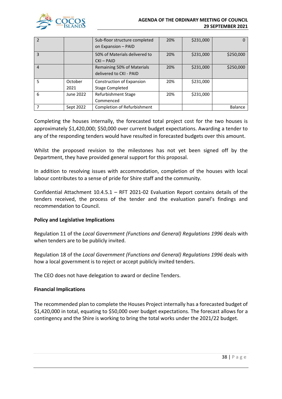

#### **AGENDA OF THE ORDINARY MEETING OF COUNCIL 29 SEPTEMBER 2021**

|                |                 | Sub-floor structure completed<br>on Expansion - PAID  | 20% | \$231,000 |           |
|----------------|-----------------|-------------------------------------------------------|-----|-----------|-----------|
| 3              |                 | 50% of Materials delivered to<br>$CKI - PAID$         | 20% | \$231,000 | \$250,000 |
| $\overline{4}$ |                 | Remaining 50% of Materials<br>delivered to CKI - PAID | 20% | \$231,000 | \$250,000 |
| 5              | October<br>2021 | Construction of Expansion<br><b>Stage Completed</b>   | 20% | \$231,000 |           |
| 6              | June 2022       | Refurbishment Stage<br>Commenced                      | 20% | \$231,000 |           |
|                | Sept 2022       | Completion of Refurbishment                           |     |           | Balance   |

Completing the houses internally, the forecasted total project cost for the two houses is approximately \$1,420,000; \$50,000 over current budget expectations. Awarding a tender to any of the responding tenders would have resulted in forecasted budgets over this amount.

Whilst the proposed revision to the milestones has not yet been signed off by the Department, they have provided general support for this proposal.

In addition to resolving issues with accommodation, completion of the houses with local labour contributes to a sense of pride for Shire staff and the community.

Confidential Attachment 10.4.5.1 – RFT 2021-02 Evaluation Report contains details of the tenders received, the process of the tender and the evaluation panel's findings and recommendation to Council.

#### **Policy and Legislative Implications**

Regulation 11 of the *Local Government (Functions and General) Regulations 1996* deals with when tenders are to be publicly invited.

Regulation 18 of the *Local Government (Functions and General) Regulations 1996* deals with how a local government is to reject or accept publicly invited tenders.

The CEO does not have delegation to award or decline Tenders.

#### **Financial Implications**

The recommended plan to complete the Houses Project internally has a forecasted budget of \$1,420,000 in total, equating to \$50,000 over budget expectations. The forecast allows for a contingency and the Shire is working to bring the total works under the 2021/22 budget.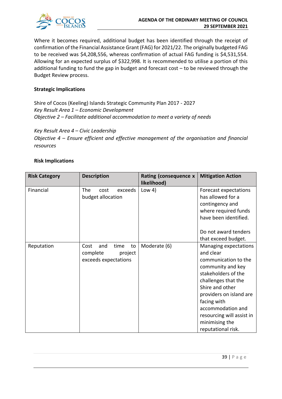

Where it becomes required, additional budget has been identified through the receipt of confirmation of the Financial Assistance Grant (FAG) for 2021/22. The originally budgeted FAG to be received was \$4,208,556, whereas confirmation of actual FAG funding is \$4,531,554. Allowing for an expected surplus of \$322,998. It is recommended to utilise a portion of this additional funding to fund the gap in budget and forecast cost – to be reviewed through the Budget Review process.

#### **Strategic Implications**

Shire of Cocos (Keeling) Islands Strategic Community Plan 2017 - 2027 *Key Result Area 1 – Economic Development Objective 2 – Facilitate additional accommodation to meet a variety of needs*

*Key Result Area 4 – Civic Leadership Objective 4 – Ensure efficient and effective management of the organisation and financial resources*

#### **Risk Implications**

| <b>Risk Category</b> | <b>Description</b>                                                       | Rating (consequence x  <br>likelihood) | <b>Mitigation Action</b>                                                                                                                                                                                                                                                             |
|----------------------|--------------------------------------------------------------------------|----------------------------------------|--------------------------------------------------------------------------------------------------------------------------------------------------------------------------------------------------------------------------------------------------------------------------------------|
| Financial            | The<br>exceeds<br>cost<br>budget allocation                              | Low 4)                                 | Forecast expectations<br>has allowed for a<br>contingency and<br>where required funds<br>have been identified.                                                                                                                                                                       |
|                      |                                                                          |                                        | Do not award tenders<br>that exceed budget.                                                                                                                                                                                                                                          |
| Reputation           | time<br>Cost<br>and<br>to<br>complete<br>project<br>exceeds expectations | Moderate (6)                           | Managing expectations<br>and clear<br>communication to the<br>community and key<br>stakeholders of the<br>challenges that the<br>Shire and other<br>providers on island are<br>facing with<br>accommodation and<br>resourcing will assist in<br>minimising the<br>reputational risk. |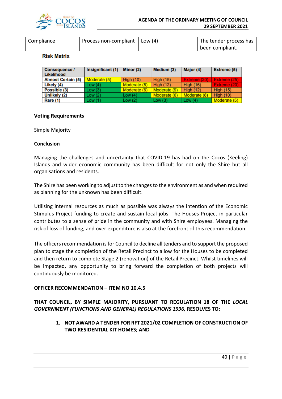

| Compliance | Process non-compliant $\vert$ Low (4) | The tender process has |
|------------|---------------------------------------|------------------------|
|            |                                       | been compliant.        |

#### **Risk Matrix**

| <b>Consequence /</b><br>Likelihood | Insignificant (1) | Minor (2)        | Medium (3)       | Major (4)        | Extreme (5)      |
|------------------------------------|-------------------|------------------|------------------|------------------|------------------|
| <b>Almost Certain (5)</b>          | Moderate (5)      | <b>High (10)</b> | <b>High (15)</b> | Extreme (20)     | Extreme (25)     |
| Likely (4)                         | Low(4)            | Moderate (8)     | <b>High (12)</b> | <b>High (16)</b> | Extreme (20)     |
| Possible (3)                       | Low(3)            | Moderate (6)     | Moderate (9)     | High $(12)$      | <b>High (15)</b> |
| Unlikely (2)                       | Low(2)            | Low(4)           | Moderate (6)     | Moderate (8)     | <b>High (10)</b> |
| Rare (1)                           | Low(1)            | Low $(2)$        | Low(3)           | Low $(4)$        | Moderate (5)     |

#### **Voting Requirements**

Simple Majority

#### **Conclusion**

Managing the challenges and uncertainty that COVID-19 has had on the Cocos (Keeling) Islands and wider economic community has been difficult for not only the Shire but all organisations and residents.

The Shire has been working to adjust to the changes to the environment as and when required as planning for the unknown has been difficult.

Utilising internal resources as much as possible was always the intention of the Economic Stimulus Project funding to create and sustain local jobs. The Houses Project in particular contributes to a sense of pride in the community and with Shire employees. Managing the risk of loss of funding, and over expenditure is also at the forefront of this recommendation.

The officers recommendation is for Council to decline all tenders and to support the proposed plan to stage the completion of the Retail Precinct to allow for the Houses to be completed and then return to complete Stage 2 (renovation) of the Retail Precinct. Whilst timelines will be impacted, any opportunity to bring forward the completion of both projects will continuously be monitored.

#### **OFFICER RECOMMENDATION – ITEM NO 10.4.5**

**THAT COUNCIL, BY SIMPLE MAJORITY, PURSUANT TO REGULATION 18 OF THE** *LOCAL GOVERNMENT (FUNCTIONS AND GENERAL) REGULATIONS 1996,* **RESOLVES TO:**

> **1. NOT AWARD A TENDER FOR RFT 2021/02 COMPLETION OF CONSTRUCTION OF TWO RESIDENTIAL KIT HOMES; AND**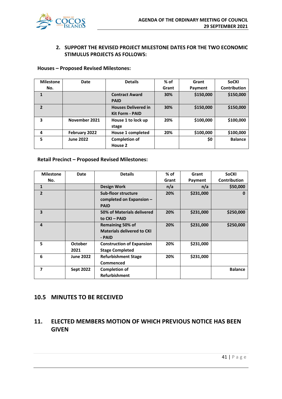

#### **2. SUPPORT THE REVISED PROJECT MILESTONE DATES FOR THE TWO ECONOMIC STIMULUS PROJECTS AS FOLLOWS:**

#### **Houses – Proposed Revised Milestones:**

| <b>Milestone</b> | Date             | <b>Details</b>             | $%$ of | Grant     | <b>SoCKI</b>   |
|------------------|------------------|----------------------------|--------|-----------|----------------|
| No.              |                  |                            | Grant  | Payment   | Contribution   |
| 1                |                  | <b>Contract Award</b>      | 30%    | \$150,000 | \$150,000      |
|                  |                  | <b>PAID</b>                |        |           |                |
| $\overline{2}$   |                  | <b>Houses Delivered in</b> | 30%    | \$150,000 | \$150,000      |
|                  |                  | <b>Kit Form - PAID</b>     |        |           |                |
| 3                | November 2021    | House 1 to lock up         | 20%    | \$100,000 | \$100,000      |
|                  |                  | stage                      |        |           |                |
| 4                | February 2022    | House 1 completed          | 20%    | \$100,000 | \$100,000      |
| 5                | <b>June 2022</b> | <b>Completion of</b>       |        | \$0       | <b>Balance</b> |
|                  |                  | House 2                    |        |           |                |

#### **Retail Precinct – Proposed Revised Milestones:**

| <b>Milestone</b>        | Date             | <b>Details</b>                    | % of  | Grant     | <b>SoCKI</b>   |
|-------------------------|------------------|-----------------------------------|-------|-----------|----------------|
| No.                     |                  |                                   | Grant | Payment   | Contribution   |
| $\mathbf{1}$            |                  | <b>Design Work</b>                | n/a   | n/a       | \$50,000       |
| $\overline{2}$          |                  | Sub-floor structure               | 20%   | \$231,000 | 0              |
|                         |                  | completed on Expansion -          |       |           |                |
|                         |                  | <b>PAID</b>                       |       |           |                |
| $\overline{\mathbf{3}}$ |                  | 50% of Materials delivered        | 20%   | \$231,000 | \$250,000      |
|                         |                  | to CKI - PAID                     |       |           |                |
| 4                       |                  | <b>Remaining 50% of</b>           | 20%   | \$231,000 | \$250,000      |
|                         |                  | <b>Materials delivered to CKI</b> |       |           |                |
|                         |                  | - PAID                            |       |           |                |
| 5                       | <b>October</b>   | <b>Construction of Expansion</b>  | 20%   | \$231,000 |                |
|                         | 2021             | <b>Stage Completed</b>            |       |           |                |
| 6                       | <b>June 2022</b> | <b>Refurbishment Stage</b>        | 20%   | \$231,000 |                |
|                         |                  | Commenced                         |       |           |                |
| 7                       | <b>Sept 2022</b> | <b>Completion of</b>              |       |           | <b>Balance</b> |
|                         |                  | <b>Refurbishment</b>              |       |           |                |

## **10.5 MINUTES TO BE RECEIVED**

## **11. ELECTED MEMBERS MOTION OF WHICH PREVIOUS NOTICE HAS BEEN GIVEN**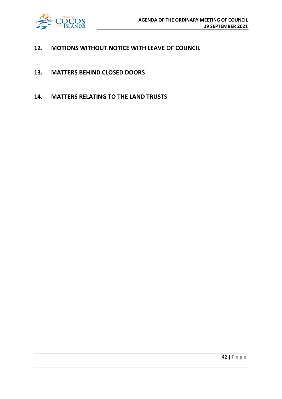

## **12. MOTIONS WITHOUT NOTICE WITH LEAVE OF COUNCIL**

- **13. MATTERS BEHIND CLOSED DOORS**
- **14. MATTERS RELATING TO THE LAND TRUSTS**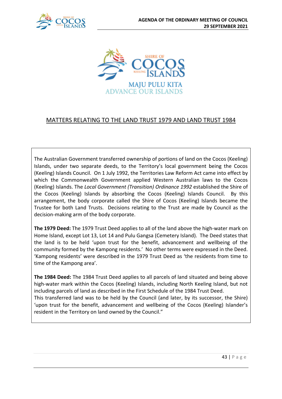



## MATTERS RELATING TO THE LAND TRUST 1979 AND LAND TRUST 1984

The Australian Government transferred ownership of portions of land on the Cocos (Keeling) Islands, under two separate deeds, to the Territory's local government being the Cocos (Keeling) Islands Council. On 1 July 1992, the Territories Law Reform Act came into effect by which the Commonwealth Government applied Western Australian laws to the Cocos (Keeling) Islands. The *Local Government (Transition) Ordinance 1992* established the Shire of the Cocos (Keeling) Islands by absorbing the Cocos (Keeling) Islands Council. By this arrangement, the body corporate called the Shire of Cocos (Keeling) Islands became the Trustee for both Land Trusts. Decisions relating to the Trust are made by Council as the decision-making arm of the body corporate.

**The 1979 Deed:** The 1979 Trust Deed applies to all of the land above the high-water mark on Home Island, except Lot 13, Lot 14 and Pulu Gangsa (Cemetery Island). The Deed states that the land is to be held 'upon trust for the benefit, advancement and wellbeing of the community formed by the Kampong residents.' No other terms were expressed in the Deed. 'Kampong residents' were described in the 1979 Trust Deed as 'the residents from time to time of the Kampong area'.

**The 1984 Deed:** The 1984 Trust Deed applies to all parcels of land situated and being above high-water mark within the Cocos (Keeling) Islands, including North Keeling Island, but not including parcels of land as described in the First Schedule of the 1984 Trust Deed. This transferred land was to be held by the Council (and later, by its successor, the Shire) 'upon trust for the benefit, advancement and wellbeing of the Cocos (Keeling) Islander's resident in the Territory on land owned by the Council."